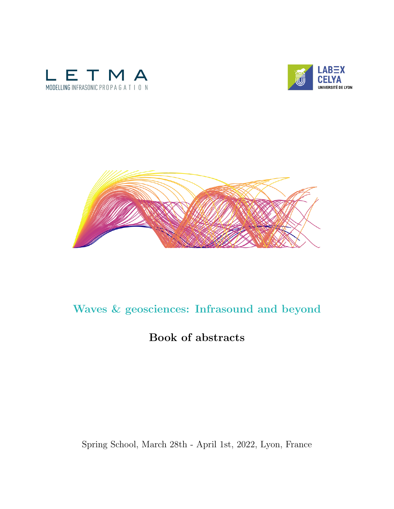





# Waves & geosciences: Infrasound and beyond

# Book of abstracts

## Spring School, March 28th - April 1st, 2022, Lyon, France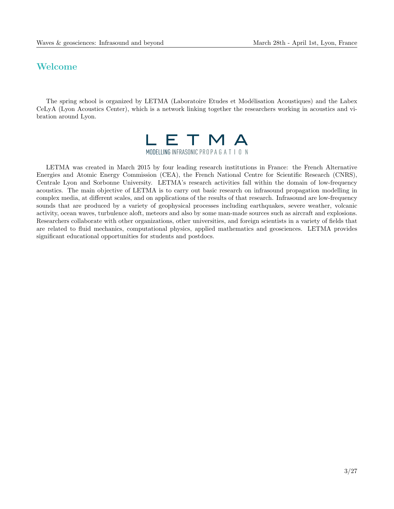## Welcome

The spring school is organized by LETMA (Laboratoire Etudes et Modélisation Acoustiques) and the Labex CeLyA (Lyon Acoustics Center), which is a network linking together the researchers working in acoustics and vibration around Lyon.



LETMA was created in March 2015 by four leading research institutions in France: the French Alternative Energies and Atomic Energy Commission (CEA), the French National Centre for Scientific Research (CNRS), Centrale Lyon and Sorbonne University. LETMA's research activities fall within the domain of low-frequency acoustics. The main objective of LETMA is to carry out basic research on infrasound propagation modelling in complex media, at different scales, and on applications of the results of that research. Infrasound are low-frequency sounds that are produced by a variety of geophysical processes including earthquakes, severe weather, volcanic activity, ocean waves, turbulence aloft, meteors and also by some man-made sources such as aircraft and explosions. Researchers collaborate with other organizations, other universities, and foreign scientists in a variety of fields that are related to fluid mechanics, computational physics, applied mathematics and geosciences. LETMA provides significant educational opportunities for students and postdocs.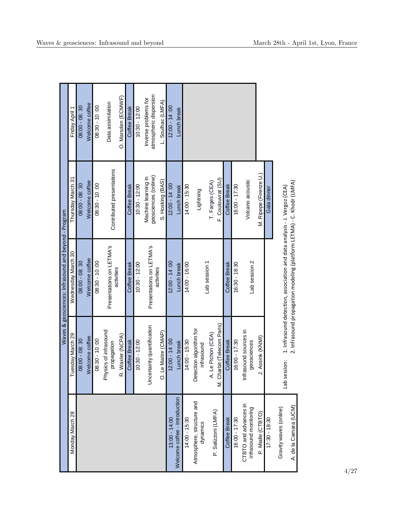| Waves & geosciences: Infrasound and beyond - Program | Friday April 1     | $08:00 - 08:30$ | Welcome coffee | $08:30 - 10:00$ | Data assimilation                      | O. Marsden (ECMWF) | <b>Coffee Break</b> | $10:30 - 12:00$          | atmospheric dispersion<br>Inverse problems for | L. Soulhac (LMFA)                 | $12:00 - 14:00$ | Lunch break                   |                 |                                       |                     |                            |                     |                 |                                                |                        |               |                                                                       |                                                                          |
|------------------------------------------------------|--------------------|-----------------|----------------|-----------------|----------------------------------------|--------------------|---------------------|--------------------------|------------------------------------------------|-----------------------------------|-----------------|-------------------------------|-----------------|---------------------------------------|---------------------|----------------------------|---------------------|-----------------|------------------------------------------------|------------------------|---------------|-----------------------------------------------------------------------|--------------------------------------------------------------------------|
|                                                      | Thursday March 31  | $08:00 - 08:30$ | Welcome coffee | $08:30 - 10:00$ | Contributed presentations              |                    | Coffee Break        | $10:30 - 12:00$          | geosciences (online)<br>Machine learning in    | S. Hosking (BAS)                  | $12:00 - 14:00$ | Lunch break                   | $14:00 - 15:30$ | Lightning                             | T. Farges (CEA)     | F. Coulouvrat (SU)         | Coffee Break        | 16:00 - 17:30   | Volcano acoustic                               | M. Ripepe (Firenze U.) | Gala dinner   |                                                                       | 1. Infrasound detection, association and data analysis - J. Vergoz (CEA) |
|                                                      | Wednesday March 30 | $08:00 - 08:30$ | Welcome coffee | $08:30 - 10:00$ | Presentations on LETMA's<br>activities | Coffee Break       | $10:30 - 12:00$     | Presentations on LETMA's | activities                                     | $12:00 - 14:00$                   | Lunch break     | 14:00 - 16:00                 | Lab session 1   |                                       |                     | Coffee Break               | $16:30 - 18:30$     | Lab session 2   |                                                |                        |               | 2. Infrasound propagation modeling (platform LETMA) - C. Khodr (LMFA) |                                                                          |
|                                                      | uesday March 29    | $08:00 - 08:30$ | Welcome coffee | 08:30 - 10:00   | Physics of infrasound<br>propagation   | R. Waxler (NCPA)   | <b>Coffee Break</b> | $10:30 - 12:00$          | Uncertainty quantification                     | Le Maitre (CMAP)<br>$\dot{\circ}$ | $12:00 - 14:00$ | Lunch break                   | $14:00 - 15:30$ | Detection algorithm for<br>infrasound | A. Le Pichon (CEA)  | M. Charbit (Telecom Paris) | <b>Coffee Break</b> | $16:00 - 17:30$ | Infrasound sources in<br>geosciences           | J. Assink (KNMI)       |               | Lab session:                                                          |                                                                          |
|                                                      | Monday March 28    |                 |                |                 |                                        |                    |                     |                          |                                                |                                   | $13:00 - 14:00$ | Welcome coffee - Introduction | $14:00 - 15:30$ | Atmosphere, structure and<br>dynamics | P. Salizzoni (LMFA) |                            | Coffee Break        | $16:00 - 17:30$ | CTBTO and advances in<br>infrasound monitoring | P. Mialle (CTBTO)      | 17:30 - 08:30 | Gravity waves (online)                                                | A. de la Camara (UCM)                                                    |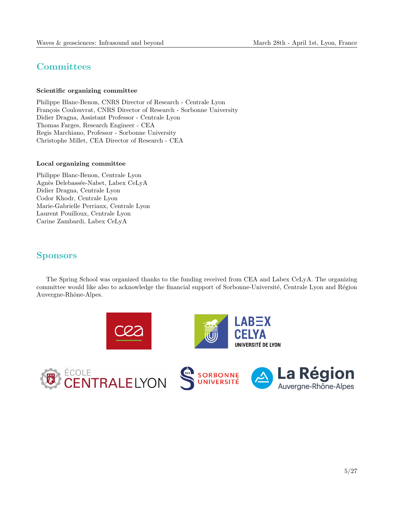## **Committees**

#### Scientific organizing committee

Philippe Blanc-Benon, CNRS Director of Research - Centrale Lyon François Coulouvrat, CNRS Director of Research - Sorbonne University Didier Dragna, Assistant Professor - Centrale Lyon Thomas Farges, Research Engineer - CEA Regis Marchiano, Professor - Sorbonne University Christophe Millet, CEA Director of Research - CEA

#### Local organizing committee

Philippe Blanc-Benon, Centrale Lyon Agnès Delebassée-Nabet, Labex CeLyA Didier Dragna, Centrale Lyon Codor Khodr, Centrale Lyon Marie-Gabrielle Perriaux, Centrale Lyon Laurent Pouilloux, Centrale Lyon Carine Zambardi, Labex CeLyA

## **Sponsors**

The Spring School was organized thanks to the funding received from CEA and Labex CeLyA. The organizing committee would like also to acknowledge the financial support of Sorbonne-Université, Centrale Lyon and Région Auvergne-Rhône-Alpes.

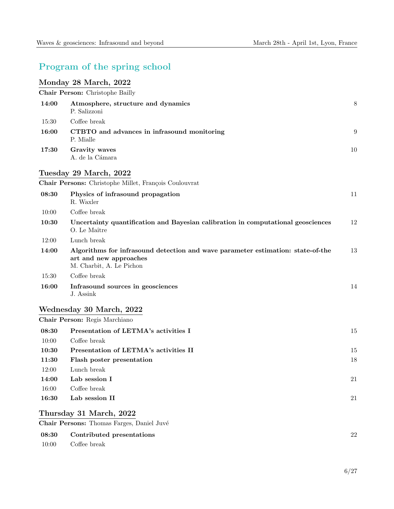## Program of the spring school

## Monday 28 March, 2022

10:00 Coffee break

Chair Person: Christophe Bailly

| 14:00 | Atmosphere, structure and dynamics<br>P. Salizzoni                                                                                    | 8      |  |  |  |  |  |  |
|-------|---------------------------------------------------------------------------------------------------------------------------------------|--------|--|--|--|--|--|--|
| 15:30 | Coffee break                                                                                                                          |        |  |  |  |  |  |  |
| 16:00 | CTBTO and advances in infrasound monitoring<br>P. Mialle                                                                              | 9      |  |  |  |  |  |  |
| 17:30 | Gravity waves<br>A. de la Cámara                                                                                                      |        |  |  |  |  |  |  |
|       | Tuesday 29 March, 2022                                                                                                                |        |  |  |  |  |  |  |
|       | Chair Persons: Christophe Millet, François Coulouvrat                                                                                 |        |  |  |  |  |  |  |
| 08:30 | Physics of infrasound propagation<br>R. Waxler                                                                                        | 11     |  |  |  |  |  |  |
| 10:00 | Coffee break                                                                                                                          |        |  |  |  |  |  |  |
| 10:30 | Uncertainty quantification and Bayesian calibration in computational geosciences<br>O. Le Maître                                      | 12     |  |  |  |  |  |  |
| 12:00 | Lunch break                                                                                                                           |        |  |  |  |  |  |  |
| 14:00 | Algorithms for infrasound detection and wave parameter estimation: state-of-the<br>art and new approaches<br>M. Charbit, A. Le Pichon | 13     |  |  |  |  |  |  |
| 15:30 | Coffee break                                                                                                                          |        |  |  |  |  |  |  |
| 16:00 | Infrasound sources in geosciences<br>J. Assink                                                                                        | 14     |  |  |  |  |  |  |
|       | Wednesday 30 March, 2022                                                                                                              |        |  |  |  |  |  |  |
|       | Chair Person: Regis Marchiano                                                                                                         |        |  |  |  |  |  |  |
| 08:30 | Presentation of LETMA's activities I                                                                                                  | 15     |  |  |  |  |  |  |
| 10:00 | Coffee break                                                                                                                          |        |  |  |  |  |  |  |
| 10:30 | Presentation of LETMA's activities II                                                                                                 | 15     |  |  |  |  |  |  |
| 11:30 | Flash poster presentation                                                                                                             | 18     |  |  |  |  |  |  |
| 12:00 | Lunch break                                                                                                                           |        |  |  |  |  |  |  |
| 14:00 | Lab session I                                                                                                                         | 21     |  |  |  |  |  |  |
| 16:00 | Coffee break                                                                                                                          |        |  |  |  |  |  |  |
| 16:30 | Lab session II                                                                                                                        | $21\,$ |  |  |  |  |  |  |
|       | Thursday 31 March, 2022                                                                                                               |        |  |  |  |  |  |  |
|       | Chair Persons: Thomas Farges, Daniel Juvé                                                                                             |        |  |  |  |  |  |  |
| 08:30 | Contributed presentations                                                                                                             | 22     |  |  |  |  |  |  |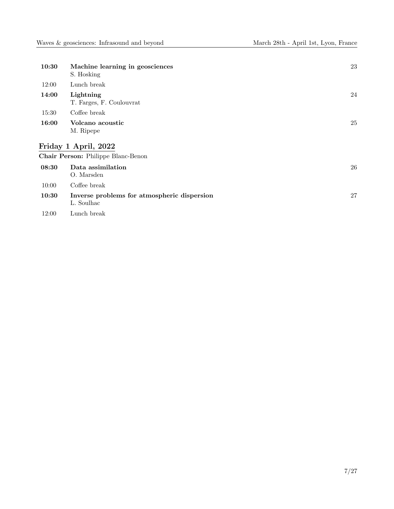| 10:30                                  | Machine learning in geosciences<br>S. Hosking             | 23 |  |  |  |
|----------------------------------------|-----------------------------------------------------------|----|--|--|--|
| 12:00                                  | Lunch break                                               |    |  |  |  |
| 14:00                                  | Lightning<br>T. Farges, F. Coulouvrat                     | 24 |  |  |  |
| 15:30                                  | Coffee break                                              |    |  |  |  |
| 16:00<br>Volcano acoustic<br>M. Ripepe |                                                           |    |  |  |  |
|                                        | Friday 1 April, 2022                                      |    |  |  |  |
|                                        | Chair Person: Philippe Blanc-Benon                        |    |  |  |  |
| 08:30                                  | Data assimilation<br>O. Marsden                           | 26 |  |  |  |
| 10:00                                  | Coffee break                                              |    |  |  |  |
| 10:30                                  | Inverse problems for atmospheric dispersion<br>L. Soulhac | 27 |  |  |  |

12:00 Lunch break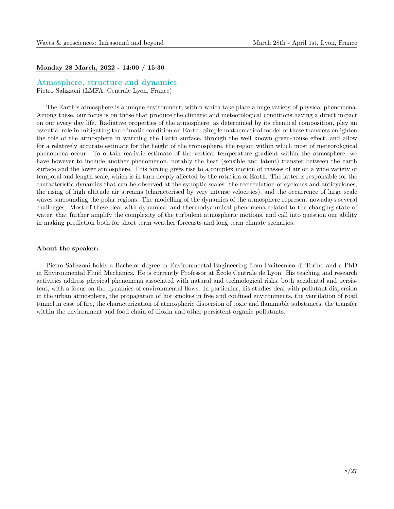#### Monday 28 March, 2022 - 14:00 / 15:30

#### Atmosphere, structure and dynamics

Pietro Salizzoni (LMFA, Centrale Lyon, France)

The Earth's atmosphere is a unique environment, within which take place a huge variety of physical phenomena. Among these, our focus is on those that produce the climatic and meteorological conditions having a direct impact on our every day life. Radiative properties of the atmosphere, as determined by its chemical composition, play an essential role in mitigating the climatic condition on Earth. Simple mathematical model of these transfers enlighten the role of the atmosphere in warming the Earth surface, through the well known green-house effect, and allow for a relatively accurate estimate for the height of the troposphere, the region within which most of meteorological phenomena occur. To obtain realistic estimate of the vertical temperature gradient within the atmosphere, we have however to include another phenomenon, notably the heat (sensible and latent) transfer between the earth surface and the lower atmosphere. This forcing gives rise to a complex motion of masses of air on a wide variety of temporal and length scale, which is in turn deeply affected by the rotation of Earth. The latter is responsible for the characteristic dynamics that can be observed at the synoptic scales: the recirculation of cyclones and anticyclones, the rising of high altitude air streams (characterised by very intense velocities), and the occurrence of large scale waves surrounding the polar regions. The modelling of the dynamics of the atmosphere represent nowadays several challenges. Most of these deal with dynamical and thermodyanmical phenomena related to the changing state of water, that further amplify the complexity of the turbulent atmospheric motions, and call into question our ability in making prediction both for short term weather forecasts and long term climate scenarios.

#### About the speaker:

Pietro Salizzoni holds a Bachelor degree in Environmental Engineering from Politecnico di Torino and a PhD in Environmental Fluid Mechanics. He is currently Professor at Ecole Centrale de Lyon. His teaching and research ´ activities address physical phenomena associated with natural and technological risks, both accidental and persistent, with a focus on the dynamics of environmental flows. In particular, his studies deal with pollutant dispersion in the urban atmosphere, the propagation of hot smokes in free and confined environments, the ventilation of road tunnel in case of fire, the characterization of atmospheric dispersion of toxic and flammable substances, the transfer within the environment and food chain of dioxin and other persistent organic pollutants.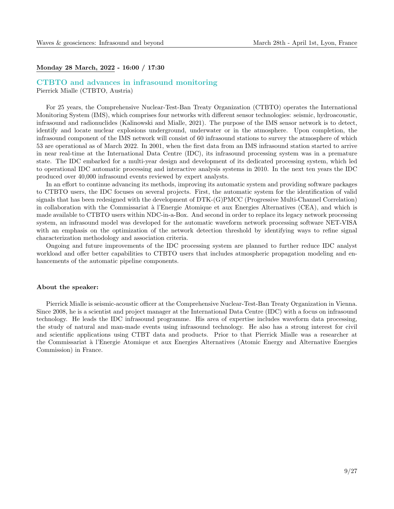#### Monday 28 March, 2022 - 16:00 / 17:30

#### CTBTO and advances in infrasound monitoring

Pierrick Mialle (CTBTO, Austria)

For 25 years, the Comprehensive Nuclear-Test-Ban Treaty Organization (CTBTO) operates the International Monitoring System (IMS), which comprises four networks with different sensor technologies: seismic, hydroacoustic, infrasound and radionuclides (Kalinowski and Mialle, 2021). The purpose of the IMS sensor network is to detect, identify and locate nuclear explosions underground, underwater or in the atmosphere. Upon completion, the infrasound component of the IMS network will consist of 60 infrasound stations to survey the atmosphere of which 53 are operational as of March 2022. In 2001, when the first data from an IMS infrasound station started to arrive in near real-time at the International Data Centre (IDC), its infrasound processing system was in a premature state. The IDC embarked for a multi-year design and development of its dedicated processing system, which led to operational IDC automatic processing and interactive analysis systems in 2010. In the next ten years the IDC produced over 40,000 infrasound events reviewed by expert analysts.

In an effort to continue advancing its methods, improving its automatic system and providing software packages to CTBTO users, the IDC focuses on several projects. First, the automatic system for the identification of valid signals that has been redesigned with the development of DTK-(G)PMCC (Progressive Multi-Channel Correlation) in collaboration with the Commissariat à l'Energie Atomique et aux Energies Alternatives (CEA), and which is made available to CTBTO users within NDC-in-a-Box. And second in order to replace its legacy network processing system, an infrasound model was developed for the automatic waveform network processing software NET-VISA with an emphasis on the optimization of the network detection threshold by identifying ways to refine signal characterization methodology and association criteria.

Ongoing and future improvements of the IDC processing system are planned to further reduce IDC analyst workload and offer better capabilities to CTBTO users that includes atmospheric propagation modeling and enhancements of the automatic pipeline components.

#### About the speaker:

Pierrick Mialle is seismic-acoustic officer at the Comprehensive Nuclear-Test-Ban Treaty Organization in Vienna. Since 2008, he is a scientist and project manager at the International Data Centre (IDC) with a focus on infrasound technology. He leads the IDC infrasound programme. His area of expertise includes waveform data processing, the study of natural and man-made events using infrasound technology. He also has a strong interest for civil and scientific applications using CTBT data and products. Prior to that Pierrick Mialle was a researcher at the Commissariat `a l'Energie Atomique et aux Energies Alternatives (Atomic Energy and Alternative Energies Commission) in France.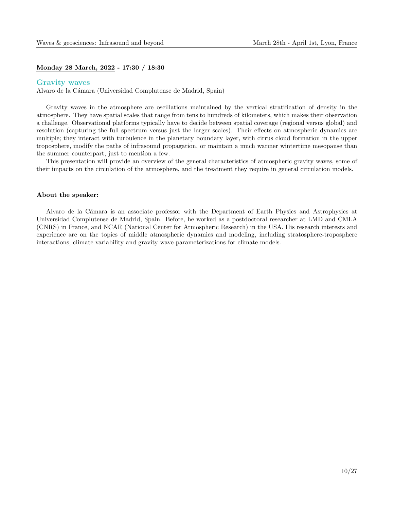#### Monday 28 March, 2022 - 17:30 / 18:30

#### Gravity waves

Alvaro de la Cámara (Universidad Complutense de Madrid, Spain)

Gravity waves in the atmosphere are oscillations maintained by the vertical stratification of density in the atmosphere. They have spatial scales that range from tens to hundreds of kilometers, which makes their observation a challenge. Observational platforms typically have to decide between spatial coverage (regional versus global) and resolution (capturing the full spectrum versus just the larger scales). Their effects on atmospheric dynamics are multiple; they interact with turbulence in the planetary boundary layer, with cirrus cloud formation in the upper troposphere, modify the paths of infrasound propagation, or maintain a much warmer wintertime mesopause than the summer counterpart, just to mention a few.

This presentation will provide an overview of the general characteristics of atmospheric gravity waves, some of their impacts on the circulation of the atmosphere, and the treatment they require in general circulation models.

#### About the speaker:

Alvaro de la C´amara is an associate professor with the Department of Earth Physics and Astrophysics at Universidad Complutense de Madrid, Spain. Before, he worked as a postdoctoral researcher at LMD and CMLA (CNRS) in France, and NCAR (National Center for Atmospheric Research) in the USA. His research interests and experience are on the topics of middle atmospheric dynamics and modeling, including stratosphere-troposphere interactions, climate variability and gravity wave parameterizations for climate models.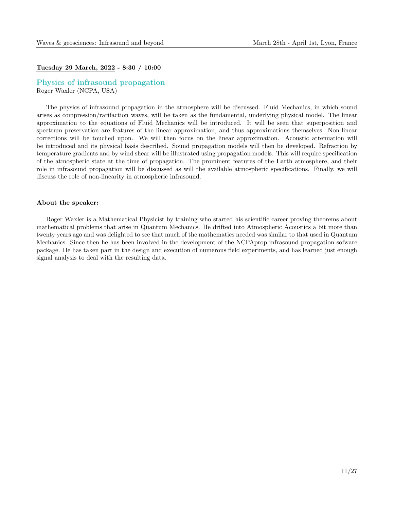#### Tuesday 29 March, 2022 - 8:30 / 10:00

#### Physics of infrasound propagation Roger Waxler (NCPA, USA)

The physics of infrasound propagation in the atmosphere will be discussed. Fluid Mechanics, in which sound arises as compression/rarifaction waves, will be taken as the fundamental, underlying physical model. The linear approximation to the equations of Fluid Mechanics will be introduced. It will be seen that superposition and spectrum preservation are features of the linear approximation, and thus approximations themselves. Non-linear corrections will be touched upon. We will then focus on the linear approximation. Acoustic attenuation will be introduced and its physical basis described. Sound propagation models will then be developed. Refraction by temperature gradients and by wind shear will be illustrated using propagation models. This will require specification of the atmospheric state at the time of propagation. The prominent features of the Earth atmosphere, and their role in infrasound propagation will be discussed as will the available atmospheric specifications. Finally, we will discuss the role of non-linearity in atmospheric infrasound.

#### About the speaker:

Roger Waxler is a Mathematical Physicist by training who started his scientific career proving theorems about mathematical problems that arise in Quantum Mechanics. He drifted into Atmospheric Acoustics a bit more than twenty years ago and was delighted to see that much of the mathematics needed was similar to that used in Quantum Mechanics. Since then he has been involved in the development of the NCPAprop infrasound propagation sofware package. He has taken part in the design and execution of numerous field experiments, and has learned just enough signal analysis to deal with the resulting data.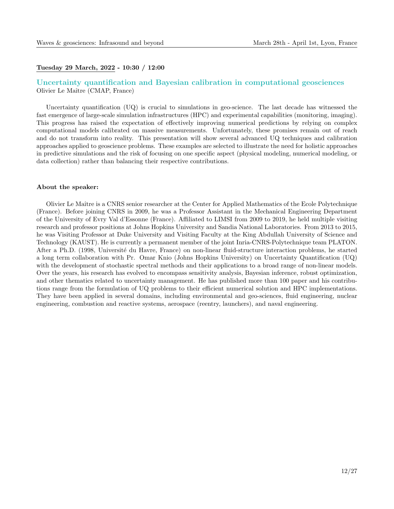#### Tuesday 29 March, 2022 - 10:30 / 12:00

#### Uncertainty quantification and Bayesian calibration in computational geosciences Olivier Le Maˆıtre (CMAP, France)

Uncertainty quantification (UQ) is crucial to simulations in geo-science. The last decade has witnessed the fast emergence of large-scale simulation infrastructures (HPC) and experimental capabilities (monitoring, imaging). This progress has raised the expectation of effectively improving numerical predictions by relying on complex computational models calibrated on massive measurements. Unfortunately, these promises remain out of reach and do not transform into reality. This presentation will show several advanced UQ techniques and calibration approaches applied to geoscience problems. These examples are selected to illustrate the need for holistic approaches in predictive simulations and the risk of focusing on one specific aspect (physical modeling, numerical modeling, or data collection) rather than balancing their respective contributions.

#### About the speaker:

Olivier Le Maˆıtre is a CNRS senior researcher at the Center for Applied Mathematics of the Ecole Polytechnique (France). Before joining CNRS in 2009, he was a Professor Assistant in the Mechanical Engineering Department of the University of Evry Val d'Essonne (France). Affiliated to LIMSI from 2009 to 2019, he held multiple visiting research and professor positions at Johns Hopkins University and Sandia National Laboratories. From 2013 to 2015, he was Visiting Professor at Duke University and Visiting Faculty at the King Abdullah University of Science and Technology (KAUST). He is currently a permanent member of the joint Inria-CNRS-Polytechnique team PLATON. After a Ph.D. (1998, Université du Havre, France) on non-linear fluid-structure interaction problems, he started a long term collaboration with Pr. Omar Knio (Johns Hopkins University) on Uncertainty Quantification (UQ) with the development of stochastic spectral methods and their applications to a broad range of non-linear models. Over the years, his research has evolved to encompass sensitivity analysis, Bayesian inference, robust optimization, and other thematics related to uncertainty management. He has published more than 100 paper and his contributions range from the formulation of UQ problems to their efficient numerical solution and HPC implementations. They have been applied in several domains, including environmental and geo-sciences, fluid engineering, nuclear engineering, combustion and reactive systems, aerospace (reentry, launchers), and naval engineering.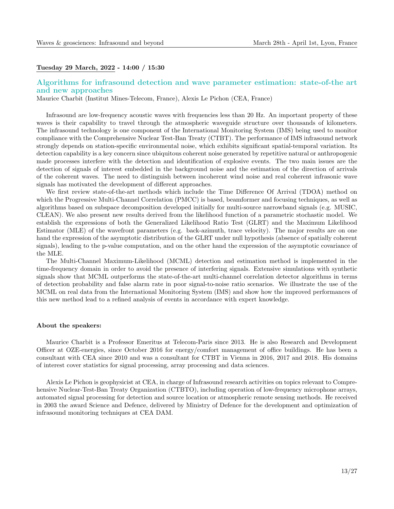#### Tuesday 29 March, 2022 - 14:00 / 15:30

#### Algorithms for infrasound detection and wave parameter estimation: state-of-the art and new approaches

Maurice Charbit (Institut Mines-Telecom, France), Alexis Le Pichon (CEA, France)

Infrasound are low-frequency acoustic waves with frequencies less than 20 Hz. An important property of these waves is their capability to travel through the atmospheric waveguide structure over thousands of kilometers. The infrasound technology is one component of the International Monitoring System (IMS) being used to monitor compliance with the Comprehensive Nuclear Test-Ban Treaty (CTBT). The performance of IMS infrasound network strongly depends on station-specific environmental noise, which exhibits significant spatial-temporal variation. Its detection capability is a key concern since ubiquitous coherent noise generated by repetitive natural or anthropogenic made processes interfere with the detection and identification of explosive events. The two main issues are the detection of signals of interest embedded in the background noise and the estimation of the direction of arrivals of the coherent waves. The need to distinguish between incoherent wind noise and real coherent infrasonic wave signals has motivated the development of different approaches.

We first review state-of-the-art methods which include the Time Difference Of Arrival (TDOA) method on which the Progressive Multi-Channel Correlation (PMCC) is based, beamformer and focusing techniques, as well as algorithms based on subspace decomposition developed initially for multi-source narrowband signals (e.g. MUSIC, CLEAN). We also present new results derived from the likelihood function of a parametric stochastic model. We establish the expressions of both the Generalized Likelihood Ratio Test (GLRT) and the Maximum Likelihood Estimator (MLE) of the wavefront parameters (e.g. back-azimuth, trace velocity). The major results are on one hand the expression of the asymptotic distribution of the GLRT under null hypothesis (absence of spatially coherent signals), leading to the p-value computation, and on the other hand the expression of the asymptotic covariance of the MLE.

The Multi-Channel Maximum-Likelihood (MCML) detection and estimation method is implemented in the time-frequency domain in order to avoid the presence of interfering signals. Extensive simulations with synthetic signals show that MCML outperforms the state-of-the-art multi-channel correlation detector algorithms in terms of detection probability and false alarm rate in poor signal-to-noise ratio scenarios. We illustrate the use of the MCML on real data from the International Monitoring System (IMS) and show how the improved performances of this new method lead to a refined analysis of events in accordance with expert knowledge.

#### About the speakers:

Maurice Charbit is a Professor Emeritus at Telecom-Paris since 2013. He is also Research and Development Officer at OZE-energies, since October 2016 for energy/comfort management of office buildings. He has been a consultant with CEA since 2010 and was a consultant for CTBT in Vienna in 2016, 2017 and 2018. His domains of interest cover statistics for signal processing, array processing and data sciences.

Alexis Le Pichon is geophysicist at CEA, in charge of Infrasound research activities on topics relevant to Comprehensive Nuclear-Test-Ban Treaty Organization (CTBTO), including operation of low-frequency microphone arrays, automated signal processing for detection and source location or atmospheric remote sensing methods. He received in 2003 the award Science and Defence, delivered by Ministry of Defence for the development and optimization of infrasound monitoring techniques at CEA DAM.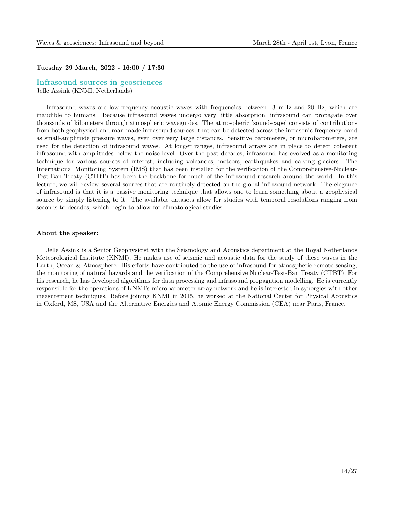#### Tuesday 29 March, 2022 - 16:00 / 17:30

## Infrasound sources in geosciences

Jelle Assink (KNMI, Netherlands)

Infrasound waves are low-frequency acoustic waves with frequencies between 3 mHz and 20 Hz, which are inaudible to humans. Because infrasound waves undergo very little absorption, infrasound can propagate over thousands of kilometers through atmospheric waveguides. The atmospheric 'soundscape' consists of contributions from both geophysical and man-made infrasound sources, that can be detected across the infrasonic frequency band as small-amplitude pressure waves, even over very large distances. Sensitive barometers, or microbarometers, are used for the detection of infrasound waves. At longer ranges, infrasound arrays are in place to detect coherent infrasound with amplitudes below the noise level. Over the past decades, infrasound has evolved as a monitoring technique for various sources of interest, including volcanoes, meteors, earthquakes and calving glaciers. The International Monitoring System (IMS) that has been installed for the verification of the Comprehensive-Nuclear-Test-Ban-Treaty (CTBT) has been the backbone for much of the infrasound research around the world. In this lecture, we will review several sources that are routinely detected on the global infrasound network. The elegance of infrasound is that it is a passive monitoring technique that allows one to learn something about a geophysical source by simply listening to it. The available datasets allow for studies with temporal resolutions ranging from seconds to decades, which begin to allow for climatological studies.

#### About the speaker:

Jelle Assink is a Senior Geophysicist with the Seismology and Acoustics department at the Royal Netherlands Meteorological Institute (KNMI). He makes use of seismic and acoustic data for the study of these waves in the Earth, Ocean & Atmosphere. His efforts have contributed to the use of infrasound for atmospheric remote sensing, the monitoring of natural hazards and the verification of the Comprehensive Nuclear-Test-Ban Treaty (CTBT). For his research, he has developed algorithms for data processing and infrasound propagation modelling. He is currently responsible for the operations of KNMI's microbarometer array network and he is interested in synergies with other measurement techniques. Before joining KNMI in 2015, he worked at the National Center for Physical Acoustics in Oxford, MS, USA and the Alternative Energies and Atomic Energy Commission (CEA) near Paris, France.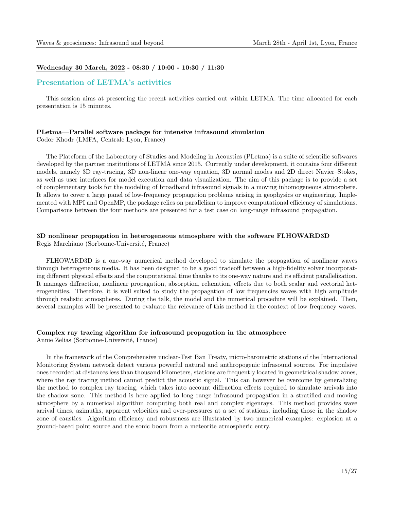#### Wednesday 30 March, 2022 - 08:30 / 10:00 - 10:30 / 11:30

#### Presentation of LETMA's activities

This session aims at presenting the recent activities carried out within LETMA. The time allocated for each presentation is 15 minutes.

#### PLetma—Parallel software package for intensive infrasound simulation

Codor Khodr (LMFA, Centrale Lyon, France)

The Plateform of the Laboratory of Studies and Modeling in Acoustics (PLetma) is a suite of scientific softwares developed by the partner institutions of LETMA since 2015. Currently under development, it contains four different models, namely 3D ray-tracing, 3D non-linear one-way equation, 3D normal modes and 2D direct Navier–Stokes, as well as user interfaces for model execution and data visualization. The aim of this package is to provide a set of complementary tools for the modeling of broadband infrasound signals in a moving inhomogeneous atmosphere. It allows to cover a large panel of low-frequency propagation problems arising in geophysics or engineering. Implemented with MPI and OpenMP, the package relies on parallelism to improve computational efficiency of simulations. Comparisons between the four methods are presented for a test case on long-range infrasound propagation.

#### 3D nonlinear propagation in heterogeneous atmosphere with the software FLHOWARD3D Regis Marchiano (Sorbonne-Université, France)

FLHOWARD3D is a one-way numerical method developed to simulate the propagation of nonlinear waves through heterogeneous media. It has been designed to be a good tradeoff between a high-fidelity solver incorporating different physical effects and the computational time thanks to its one-way nature and its efficient parallelization. It manages diffraction, nonlinear propagation, absorption, relaxation, effects due to both scalar and vectorial heterogeneities. Therefore, it is well suited to study the propagation of low frequencies waves with high amplitude through realistic atmospheres. During the talk, the model and the numerical procedure will be explained. Then, several examples will be presented to evaluate the relevance of this method in the context of low frequency waves.

#### Complex ray tracing algorithm for infrasound propagation in the atmosphere

Annie Zelias (Sorbonne-Université, France)

In the framework of the Comprehensive nuclear-Test Ban Treaty, micro-barometric stations of the International Monitoring System network detect various powerful natural and anthropogenic infrasound sources. For impulsive ones recorded at distances less than thousand kilometers, stations are frequently located in geometrical shadow zones, where the ray tracing method cannot predict the acoustic signal. This can however be overcome by generalizing the method to complex ray tracing, which takes into account diffraction effects required to simulate arrivals into the shadow zone. This method is here applied to long range infrasound propagation in a stratified and moving atmosphere by a numerical algorithm computing both real and complex eigenrays. This method provides wave arrival times, azimuths, apparent velocities and over-pressures at a set of stations, including those in the shadow zone of caustics. Algorithm efficiency and robustness are illustrated by two numerical examples: explosion at a ground-based point source and the sonic boom from a meteorite atmospheric entry.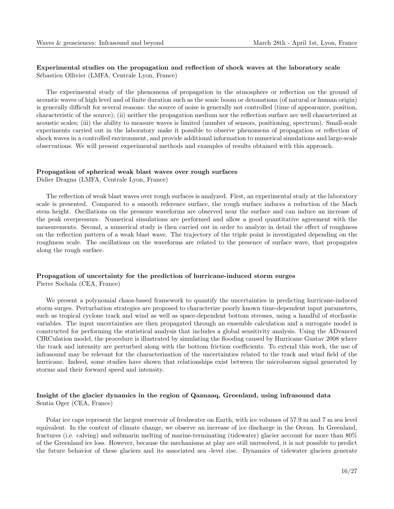#### Experimental studies on the propagation and reflection of shock waves at the laboratory scale Sébastien Ollivier (LMFA, Centrale Lyon, France)

The experimental study of the phenomena of propagation in the atmosphere or reflection on the ground of acoustic waves of high level and of finite duration such as the sonic boom or detonations (of natural or human origin) is generally difficult for several reasons: the source of noise is generally not controlled (time of appearance, position, characteristic of the source); (ii) neither the propagation medium nor the reflection surface are well characterized at acoustic scales; (iii) the ability to measure waves is limited (number of sensors, positioning, spectrum). Small-scale experiments carried out in the laboratory make it possible to observe phenomena of propagation or reflection of shock waves in a controlled environment, and provide additional information to numerical simulations and large-scale observations. We will present experimental methods and examples of results obtained with this approach.

#### Propagation of spherical weak blast waves over rough surfaces

Didier Dragna (LMFA, Centrale Lyon, France)

The reflection of weak blast waves over rough surfaces is analyzed. First, an experimental study at the laboratory scale is presented. Compared to a smooth reference surface, the rough surface induces a reduction of the Mach stem height. Oscillations on the pressure waveforms are observed near the surface and can induce an increase of the peak overpressure. Numerical simulations are performed and allow a good quantitative agreement with the measurements. Second, a numerical study is then carried out in order to analyze in detail the effect of roughness on the reflection pattern of a weak blast wave. The trajectory of the triple point is investigated depending on the roughness scale. The oscillations on the waveforms are related to the presence of surface wave, that propagates along the rough surface.

#### Propagation of uncertainty for the prediction of hurricane-induced storm surges Pierre Sochala (CEA, France)

We present a polynomial chaos-based framework to quantify the uncertainties in predicting hurricane-induced storm surges. Perturbation strategies are proposed to characterize poorly known time-dependent input parameters, such as tropical cyclone track and wind as well as space-dependent bottom stresses, using a handful of stochastic variables. The input uncertainties are then propagated through an ensemble calculation and a surrogate model is constructed for performing the statistical analysis that includes a global sensitivity analysis. Using the ADvanced CIRCulation model, the procedure is illustrated by simulating the flooding caused by Hurricane Gustav 2008 where the track and intensity are perturbed along with the bottom friction coefficients. To extend this work, the use of infrasound may be relevant for the characterization of the uncertainties related to the track and wind field of the hurricane. Indeed, some studies have shown that relationships exist between the microbarom signal generated by storms and their forward speed and intensity.

#### Insight of the glacier dynamics in the region of Qaanaaq, Greenland, using infrasound data Sentia Oger (CEA, France)

Polar ice caps represent the largest reservoir of freshwater on Earth, with ice volumes of 57.9 m and 7 m sea level equivalent. In the context of climate change, we observe an increase of ice discharge in the Ocean. In Greenland, fractures (i.e. calving) and submarin melting of marine-terminating (tidewater) glacier account for more than 80% of the Greenland ice loss. However, because the mechanisms at play are still unresolved, it is not possible to predict the future behavior of these glaciers and its associated sea -level rise. Dynamics of tidewater glaciers generate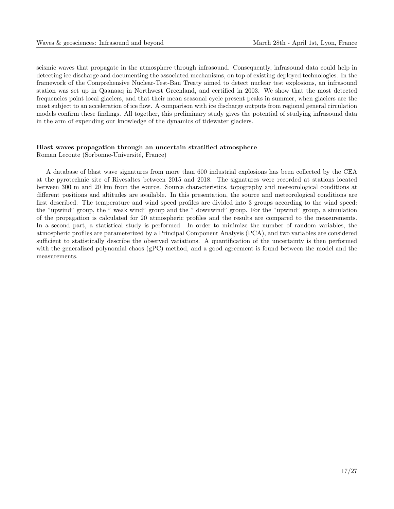seismic waves that propagate in the atmosphere through infrasound. Consequently, infrasound data could help in detecting ice discharge and documenting the associated mechanisms, on top of existing deployed technologies. In the framework of the Comprehensive Nuclear-Test-Ban Treaty aimed to detect nuclear test explosions, an infrasound station was set up in Qaanaaq in Northwest Greenland, and certified in 2003. We show that the most detected frequencies point local glaciers, and that their mean seasonal cycle present peaks in summer, when glaciers are the most subject to an acceleration of ice flow. A comparison with ice discharge outputs from regional general circulation models confirm these findings. All together, this preliminary study gives the potential of studying infrasound data in the arm of expending our knowledge of the dynamics of tidewater glaciers.

#### Blast waves propagation through an uncertain stratified atmosphere

Roman Leconte (Sorbonne-Université, France)

A database of blast wave signatures from more than 600 industrial explosions has been collected by the CEA at the pyrotechnic site of Rivesaltes between 2015 and 2018. The signatures were recorded at stations located between 300 m and 20 km from the source. Source characteristics, topography and meteorological conditions at different positions and altitudes are available. In this presentation, the source and meteorological conditions are first described. The temperature and wind speed profiles are divided into 3 groups according to the wind speed: the "upwind" group, the " weak wind" group and the " downwind" group. For the "upwind" group, a simulation of the propagation is calculated for 20 atmospheric profiles and the results are compared to the measurements. In a second part, a statistical study is performed. In order to minimize the number of random variables, the atmospheric profiles are parameterized by a Principal Component Analysis (PCA), and two variables are considered sufficient to statistically describe the observed variations. A quantification of the uncertainty is then performed with the generalized polynomial chaos (gPC) method, and a good agreement is found between the model and the measurements.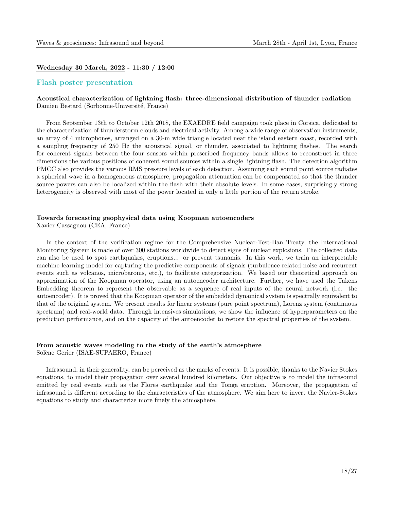#### Wednesday 30 March, 2022 - 11:30 / 12:00

#### Flash poster presentation

#### Acoustical characterization of lightning flash: three-dimensional distribution of thunder radiation Damien Bestard (Sorbonne-Université, France)

From September 13th to October 12th 2018, the EXAEDRE field campaign took place in Corsica, dedicated to the characterization of thunderstorm clouds and electrical activity. Among a wide range of observation instruments, an array of 4 microphones, arranged on a 30-m wide triangle located near the island eastern coast, recorded with a sampling frequency of 250 Hz the acoustical signal, or thunder, associated to lightning flashes. The search for coherent signals between the four sensors within prescribed frequency bands allows to reconstruct in three dimensions the various positions of coherent sound sources within a single lightning flash. The detection algorithm PMCC also provides the various RMS pressure levels of each detection. Assuming each sound point source radiates a spherical wave in a homogeneous atmosphere, propagation attenuation can be compensated so that the thunder source powers can also be localized within the flash with their absolute levels. In some cases, surprisingly strong heterogeneity is observed with most of the power located in only a little portion of the return stroke.

#### Towards forecasting geophysical data using Koopman autoencoders

Xavier Cassagnou (CEA, France)

In the context of the verification regime for the Comprehensive Nuclear-Test-Ban Treaty, the International Monitoring System is made of over 300 stations worldwide to detect signs of nuclear explosions. The collected data can also be used to spot earthquakes, eruptions... or prevent tsunamis. In this work, we train an interpretable machine learning model for capturing the predictive components of signals (turbulence related noise and recurrent events such as volcanos, microbaroms, etc.), to facilitate categorization. We based our theoretical approach on approximation of the Koopman operator, using an autoencoder architecture. Further, we have used the Takens Embedding theorem to represent the observable as a sequence of real inputs of the neural network (i.e. the autoencoder). It is proved that the Koopman operator of the embedded dynamical system is spectrally equivalent to that of the original system. We present results for linear systems (pure point spectrum), Lorenz system (continuous spectrum) and real-world data. Through intensives simulations, we show the influence of hyperparameters on the prediction performance, and on the capacity of the autoencoder to restore the spectral properties of the system.

#### From acoustic waves modeling to the study of the earth's atmosphere

Solène Gerier (ISAE-SUPAERO, France)

Infrasound, in their generality, can be perceived as the marks of events. It is possible, thanks to the Navier Stokes equations, to model their propagation over several hundred kilometers. Our objective is to model the infrasound emitted by real events such as the Flores earthquake and the Tonga eruption. Moreover, the propagation of infrasound is different according to the characteristics of the atmosphere. We aim here to invert the Navier-Stokes equations to study and characterize more finely the atmosphere.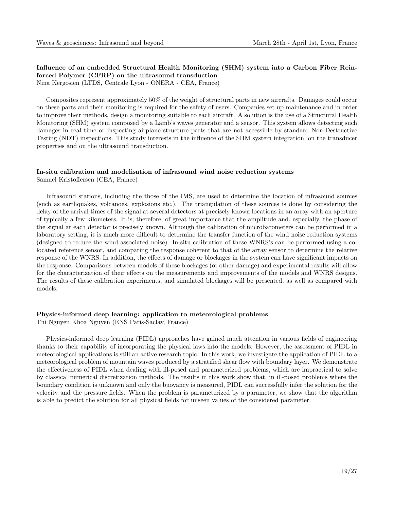### Influence of an embedded Structural Health Monitoring (SHM) system into a Carbon Fiber Reinforced Polymer (CFRP) on the ultrasound transduction

Nina Kergosien (LTDS, Centrale Lyon - ONERA - CEA, France)

Composites represent approximately 50% of the weight of structural parts in new aircrafts. Damages could occur on these parts and their monitoring is required for the safety of users. Companies set up maintenance and in order to improve their methods, design a monitoring suitable to each aircraft. A solution is the use of a Structural Health Monitoring (SHM) system composed by a Lamb's waves generator and a sensor. This system allows detecting such damages in real time or inspecting airplane structure parts that are not accessible by standard Non-Destructive Testing (NDT) inspections. This study interests in the influence of the SHM system integration, on the transducer properties and on the ultrasound transduction.

## In-situ calibration and modelisation of infrasound wind noise reduction systems

Samuel Kristoffersen (CEA, France)

Infrasound stations, including the those of the IMS, are used to determine the location of infrasound sources (such as earthquakes, volcanoes, explosions etc.). The triangulation of these sources is done by considering the delay of the arrival times of the signal at several detectors at precisely known locations in an array with an aperture of typically a few kilometers. It is, therefore, of great importance that the amplitude and, especially, the phase of the signal at each detector is precisely known. Although the calibration of microbarometers can be performed in a laboratory setting, it is much more difficult to determine the transfer function of the wind noise reduction systems (designed to reduce the wind associated noise). In-situ calibration of these WNRS's can be performed using a colocated reference sensor, and comparing the response coherent to that of the array sensor to determine the relative response of the WNRS. In addition, the effects of damage or blockages in the system can have significant impacts on the response. Comparisons between models of these blockages (or other damage) and experimental results will allow for the characterization of their effects on the measurements and improvements of the models and WNRS designs. The results of these calibration experiments, and simulated blockages will be presented, as well as compared with models.

#### Physics-informed deep learning: application to meteorological problems

Thi Nguyen Khoa Nguyen (ENS Paris-Saclay, France)

Physics-informed deep learning (PIDL) approaches have gained much attention in various fields of engineering thanks to their capability of incorporating the physical laws into the models. However, the assessment of PIDL in meteorological applications is still an active research topic. In this work, we investigate the application of PIDL to a meteorological problem of mountain waves produced by a stratified shear flow with boundary layer. We demonstrate the effectiveness of PIDL when dealing with ill-posed and parameterized problems, which are impractical to solve by classical numerical discretization methods. The results in this work show that, in ill-posed problems where the boundary condition is unknown and only the buoyancy is measured, PIDL can successfully infer the solution for the velocity and the pressure fields. When the problem is parameterized by a parameter, we show that the algorithm is able to predict the solution for all physical fields for unseen values of the considered parameter.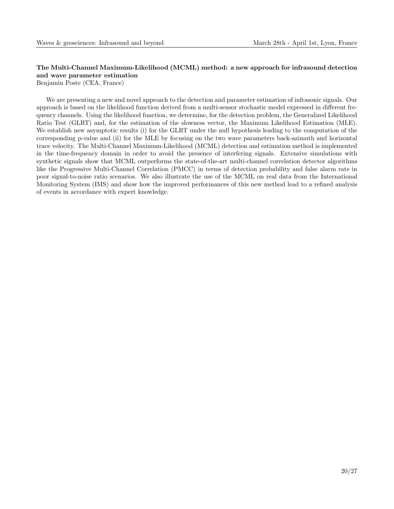### The Multi-Channel Maximum-Likelihood (MCML) method: a new approach for infrasound detection and wave parameter estimation

Benjamin Poste (CEA, France)

We are presenting a new and novel approach to the detection and parameter estimation of infrasonic signals. Our approach is based on the likelihood function derived from a multi-sensor stochastic model expressed in different frequency channels. Using the likelihood function, we determine, for the detection problem, the Generalized Likelihood Ratio Test (GLRT) and, for the estimation of the slowness vector, the Maximum Likelihood Estimation (MLE). We establish new asymptotic results (i) for the GLRT under the null hypothesis leading to the computation of the corresponding p-value and (ii) for the MLE by focusing on the two wave parameters back-azimuth and horizontal trace velocity. The Multi-Channel Maximum-Likelihood (MCML) detection and estimation method is implemented in the time-frequency domain in order to avoid the presence of interfering signals. Extensive simulations with synthetic signals show that MCML outperforms the state-of-the-art multi-channel correlation detector algorithms like the Progressive Multi-Channel Correlation (PMCC) in terms of detection probability and false alarm rate in poor signal-to-noise ratio scenarios. We also illustrate the use of the MCML on real data from the International Monitoring System (IMS) and show how the improved performances of this new method lead to a refined analysis of events in accordance with expert knowledge.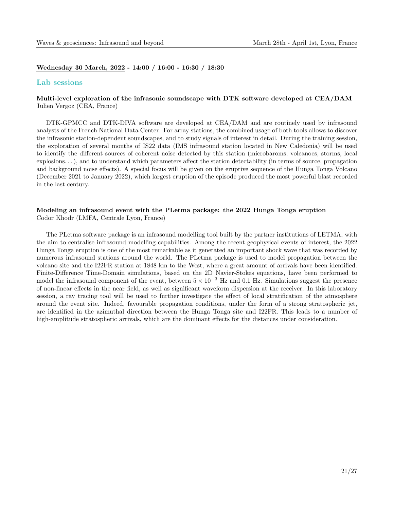Wednesday 30 March, 2022 - 14:00 / 16:00 - 16:30 / 18:30

#### Lab sessions

#### Multi-level exploration of the infrasonic soundscape with DTK software developed at CEA/DAM Julien Vergoz (CEA, France)

DTK-GPMCC and DTK-DIVA software are developed at CEA/DAM and are routinely used by infrasound analysts of the French National Data Center. For array stations, the combined usage of both tools allows to discover the infrasonic station-dependent soundscapes, and to study signals of interest in detail. During the training session, the exploration of several months of IS22 data (IMS infrasound station located in New Caledonia) will be used to identify the different sources of coherent noise detected by this station (microbaroms, volcanoes, storms, local explosions. . . ), and to understand which parameters affect the station detectability (in terms of source, propagation and background noise effects). A special focus will be given on the eruptive sequence of the Hunga Tonga Volcano (December 2021 to January 2022), which largest eruption of the episode produced the most powerful blast recorded in the last century.

### Modeling an infrasound event with the PLetma package: the 2022 Hunga Tonga eruption

Codor Khodr (LMFA, Centrale Lyon, France)

The PLetma software package is an infrasound modelling tool built by the partner institutions of LETMA, with the aim to centralise infrasound modelling capabilities. Among the recent geophysical events of interest, the 2022 Hunga Tonga eruption is one of the most remarkable as it generated an important shock wave that was recorded by numerous infrasound stations around the world. The PLetma package is used to model propagation between the volcano site and the I22FR station at 1848 km to the West, where a great amount of arrivals have been identified. Finite-Difference Time-Domain simulations, based on the 2D Navier-Stokes equations, have been performed to model the infrasound component of the event, between  $5 \times 10^{-3}$  Hz and 0.1 Hz. Simulations suggest the presence of non-linear effects in the near field, as well as significant waveform dispersion at the receiver. In this laboratory session, a ray tracing tool will be used to further investigate the effect of local stratification of the atmosphere around the event site. Indeed, favourable propagation conditions, under the form of a strong stratospheric jet, are identified in the azimuthal direction between the Hunga Tonga site and I22FR. This leads to a number of high-amplitude stratospheric arrivals, which are the dominant effects for the distances under consideration.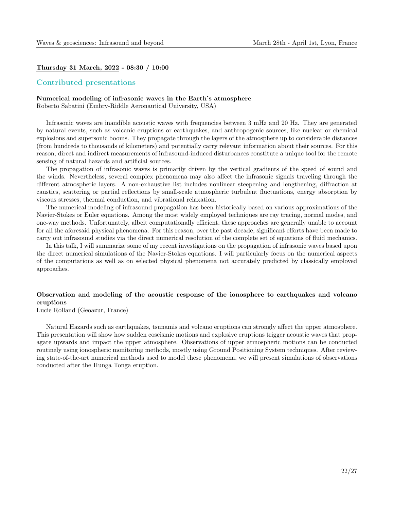#### Thursday 31 March, 2022 - 08:30 / 10:00

#### Contributed presentations

#### Numerical modeling of infrasonic waves in the Earth's atmosphere

Roberto Sabatini (Embry-Riddle Aeronautical University, USA)

Infrasonic waves are inaudible acoustic waves with frequencies between 3 mHz and 20 Hz. They are generated by natural events, such as volcanic eruptions or earthquakes, and anthropogenic sources, like nuclear or chemical explosions and supersonic booms. They propagate through the layers of the atmosphere up to considerable distances (from hundreds to thousands of kilometers) and potentially carry relevant information about their sources. For this reason, direct and indirect measurements of infrasound-induced disturbances constitute a unique tool for the remote sensing of natural hazards and artificial sources.

The propagation of infrasonic waves is primarily driven by the vertical gradients of the speed of sound and the winds. Nevertheless, several complex phenomena may also affect the infrasonic signals traveling through the different atmospheric layers. A non-exhaustive list includes nonlinear steepening and lengthening, diffraction at caustics, scattering or partial reflections by small-scale atmospheric turbulent fluctuations, energy absorption by viscous stresses, thermal conduction, and vibrational relaxation.

The numerical modeling of infrasound propagation has been historically based on various approximations of the Navier-Stokes or Euler equations. Among the most widely employed techniques are ray tracing, normal modes, and one-way methods. Unfortunately, albeit computationally efficient, these approaches are generally unable to account for all the aforesaid physical phenomena. For this reason, over the past decade, significant efforts have been made to carry out infrasound studies via the direct numerical resolution of the complete set of equations of fluid mechanics.

In this talk, I will summarize some of my recent investigations on the propagation of infrasonic waves based upon the direct numerical simulations of the Navier-Stokes equations. I will particularly focus on the numerical aspects of the computations as well as on selected physical phenomena not accurately predicted by classically employed approaches.

#### Observation and modeling of the acoustic response of the ionosphere to earthquakes and volcano eruptions

Lucie Rolland (Geoazur, France)

Natural Hazards such as earthquakes, tsunamis and volcano eruptions can strongly affect the upper atmosphere. This presentation will show how sudden coseismic motions and explosive eruptions trigger acoustic waves that propagate upwards and impact the upper atmosphere. Observations of upper atmospheric motions can be conducted routinely using ionospheric monitoring methods, mostly using Ground Positioning System techniques. After reviewing state-of-the-art numerical methods used to model these phenomena, we will present simulations of observations conducted after the Hunga Tonga eruption.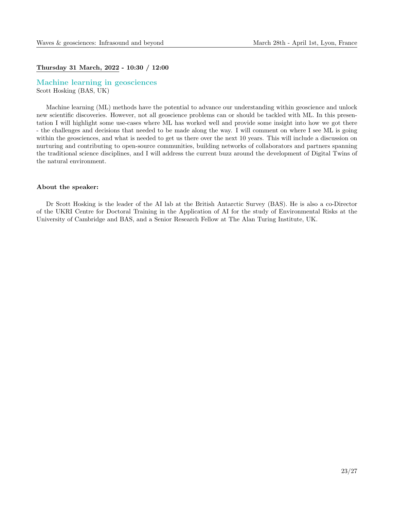#### Thursday 31 March, 2022 - 10:30 / 12:00

Machine learning in geosciences Scott Hosking (BAS, UK)

Machine learning (ML) methods have the potential to advance our understanding within geoscience and unlock new scientific discoveries. However, not all geoscience problems can or should be tackled with ML. In this presentation I will highlight some use-cases where ML has worked well and provide some insight into how we got there - the challenges and decisions that needed to be made along the way. I will comment on where I see ML is going within the geosciences, and what is needed to get us there over the next 10 years. This will include a discussion on nurturing and contributing to open-source communities, building networks of collaborators and partners spanning the traditional science disciplines, and I will address the current buzz around the development of Digital Twins of the natural environment.

#### About the speaker:

Dr Scott Hosking is the leader of the AI lab at the British Antarctic Survey (BAS). He is also a co-Director of the UKRI Centre for Doctoral Training in the Application of AI for the study of Environmental Risks at the University of Cambridge and BAS, and a Senior Research Fellow at The Alan Turing Institute, UK.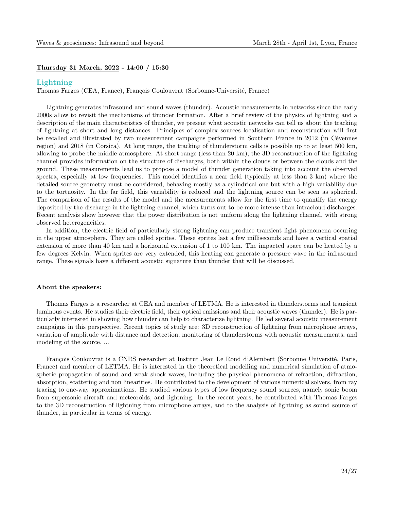#### Thursday 31 March, 2022 - 14:00 / 15:30

#### Lightning

Thomas Farges (CEA, France), François Coulouvrat (Sorbonne-Université, France)

Lightning generates infrasound and sound waves (thunder). Acoustic measurements in networks since the early 2000s allow to revisit the mechanisms of thunder formation. After a brief review of the physics of lightning and a description of the main characteristics of thunder, we present what acoustic networks can tell us about the tracking of lightning at short and long distances. Principles of complex sources localisation and reconstruction will first be recalled and illustrated by two measurement campaigns performed in Southern France in 2012 (in Cévennes region) and 2018 (in Corsica). At long range, the tracking of thunderstorm cells is possible up to at least 500 km, allowing to probe the middle atmosphere. At short range (less than 20 km), the 3D reconstruction of the lightning channel provides information on the structure of discharges, both within the clouds or between the clouds and the ground. These measurements lead us to propose a model of thunder generation taking into account the observed spectra, especially at low frequencies. This model identifies a near field (typically at less than 3 km) where the detailed source geometry must be considered, behaving mostly as a cylindrical one but with a high variability due to the tortuosity. In the far field, this variability is reduced and the lightning source can be seen as spherical. The comparison of the results of the model and the measurements allow for the first time to quantify the energy deposited by the discharge in the lightning channel, which turns out to be more intense than intracloud discharges. Recent analysis show however that the power distribution is not uniform along the lightning channel, with strong observed heterogeneities.

In addition, the electric field of particularly strong lightning can produce transient light phenomena occuring in the upper atmosphere. They are called sprites. These sprites last a few milliseconds and have a vertical spatial extension of more than 40 km and a horizontal extension of 1 to 100 km. The impacted space can be heated by a few degrees Kelvin. When sprites are very extended, this heating can generate a pressure wave in the infrasound range. These signals have a different acoustic signature than thunder that will be discussed.

#### About the speakers:

Thomas Farges is a researcher at CEA and member of LETMA. He is interested in thunderstorms and transient luminous events. He studies their electric field, their optical emissions and their acoustic waves (thunder). He is particularly interested in showing how thunder can help to characterize lightning. He led several acoustic measurement campaigns in this perspective. Recent topics of study are: 3D reconstruction of lightning from microphone arrays, variation of amplitude with distance and detection, monitoring of thunderstorms with acoustic measurements, and modeling of the source, ...

François Coulouvrat is a CNRS researcher at Institut Jean Le Rond d'Alembert (Sorbonne Université, Paris, France) and member of LETMA. He is interested in the theoretical modelling and numerical simulation of atmospheric propagation of sound and weak shock waves, including the physical phenomena of refraction, diffraction, absorption, scattering and non linearities. He contributed to the development of various numerical solvers, from ray tracing to one-way approximations. He studied various types of low frequency sound sources, namely sonic boom from supersonic aircraft and meteoroids, and lightning. In the recent years, he contributed with Thomas Farges to the 3D reconstruction of lightning from microphone arrays, and to the analysis of lightning as sound source of thunder, in particular in terms of energy.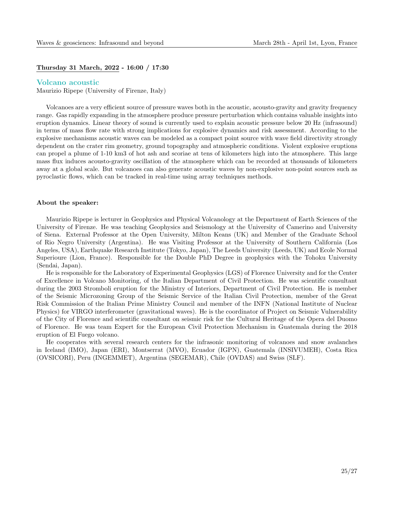#### Thursday 31 March, 2022 - 16:00 / 17:30

#### Volcano acoustic

Maurizio Ripepe (University of Firenze, Italy)

Volcanoes are a very efficient source of pressure waves both in the acoustic, acousto-gravity and gravity frequency range. Gas rapidly expanding in the atmosphere produce pressure perturbation which contains valuable insights into eruption dynamics. Linear theory of sound is currently used to explain acoustic pressure below 20 Hz (infrasound) in terms of mass flow rate with strong implications for explosive dynamics and risk assessment. According to the explosive mechanisms acoustic waves can be modeled as a compact point source with wave field directivity strongly dependent on the crater rim geometry, ground topography and atmospheric conditions. Violent explosive eruptions can propel a plume of 1-10 km3 of hot ash and scoriae at tens of kilometers high into the atmosphere. This large mass flux induces acousto-gravity oscillation of the atmosphere which can be recorded at thousands of kilometers away at a global scale. But volcanoes can also generate acoustic waves by non-explosive non-point sources such as pyroclastic flows, which can be tracked in real-time using array techniques methods.

#### About the speaker:

Maurizio Ripepe is lecturer in Geophysics and Physical Volcanology at the Department of Earth Sciences of the University of Firenze. He was teaching Geophysics and Seismology at the University of Camerino and University of Siena. External Professor at the Open University, Milton Keans (UK) and Member of the Graduate School of Rio Negro University (Argentina). He was Visiting Professor at the University of Southern California (Los Angeles, USA), Earthquake Research Institute (Tokyo, Japan), The Leeds University (Leeds, UK) and Ecole Normal Superioure (Lion, France). Responsible for the Double PhD Degree in geophysics with the Tohoku University (Sendai, Japan).

He is responsible for the Laboratory of Experimental Geophysics (LGS) of Florence University and for the Center of Excellence in Volcano Monitoring, of the Italian Department of Civil Protection. He was scientific consultant during the 2003 Stromboli eruption for the Ministry of Interiors, Department of Civil Protection. He is member of the Seismic Microzoning Group of the Seismic Service of the Italian Civil Protection, member of the Great Risk Commission of the Italian Prime Ministry Council and member of the INFN (National Institute of Nuclear Physics) for VIRGO interferometer (gravitational waves). He is the coordinator of Project on Seismic Vulnerability of the City of Florence and scientific consultant on seismic risk for the Cultural Heritage of the Opera del Duomo of Florence. He was team Expert for the European Civil Protection Mechanism in Guatemala during the 2018 eruption of El Fuego volcano.

He cooperates with several research centers for the infrasonic monitoring of volcanoes and snow avalanches in Iceland (IMO), Japan (ERI), Montserrat (MVO), Ecuador (IGPN), Guatemala (INSIVUMEH), Costa Rica (OVSICORI), Peru (INGEMMET), Argentina (SEGEMAR), Chile (OVDAS) and Swiss (SLF).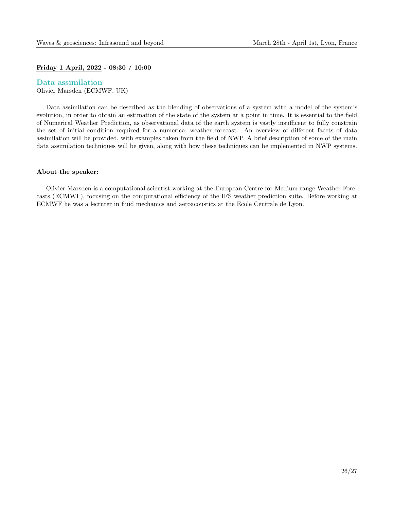#### Friday 1 April, 2022 - 08:30 / 10:00

Data assimilation Olivier Marsden (ECMWF, UK)

Data assimilation can be described as the blending of observations of a system with a model of the system's evolution, in order to obtain an estimation of the state of the system at a point in time. It is essential to the field of Numerical Weather Prediction, as observational data of the earth system is vastly insufficent to fully constrain the set of initial condition required for a numerical weather forecast. An overview of different facets of data assimilation will be provided, with examples taken from the field of NWP. A brief description of some of the main data assimilation techniques will be given, along with how these techniques can be implemented in NWP systems.

#### About the speaker:

Olivier Marsden is a computational scientist working at the European Centre for Medium-range Weather Forecasts (ECMWF), focusing on the computational efficiency of the IFS weather prediction suite. Before working at ECMWF he was a lecturer in fluid mechanics and aeroacoustics at the Ecole Centrale de Lyon.